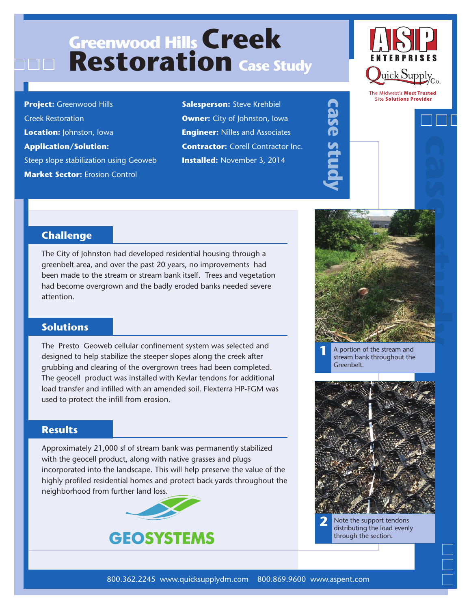# **Greenwood Hills Creek Restoration Case Study**

**Project:** Greenwood Hills Creek Restoration **Location:** Johnston, Iowa **Application/Solution:**  Steep slope stabilization using Geoweb **Market Sector: Erosion Control** 

**Salesperson:** Steve Krehbiel **Owner:** City of Johnston, Iowa **Engineer:** Nilles and Associates **Contractor: Corell Contractor Inc. Installed:** November 3, 2014



The Midwest's Most Trusted **Site Solutions Provider** 

### **Challenge**

The City of Johnston had developed residential housing through a greenbelt area, and over the past 20 years, no improvements had been made to the stream or stream bank itself. Trees and vegetation had become overgrown and the badly eroded banks needed severe attention.

### **Solutions**

The Presto Geoweb cellular confinement system was selected and designed to help stabilize the steeper slopes along the creek after grubbing and clearing of the overgrown trees had been completed. The geocell product was installed with Kevlar tendons for additional load transfer and infilled with an amended soil. Flexterra HP-FGM was used to protect the infill from erosion.

### **Results**

Approximately 21,000 sf of stream bank was permanently stabilized with the geocell product, along with native grasses and plugs incorporated into the landscape. This will help preserve the value of the highly profiled residential homes and protect back yards throughout the neighborhood from further land loss.





**case study**

**1** A portion of the stream and stream bank throughout the Greenbelt.



**2** Note the support tendons distributing the load evenly through the section.